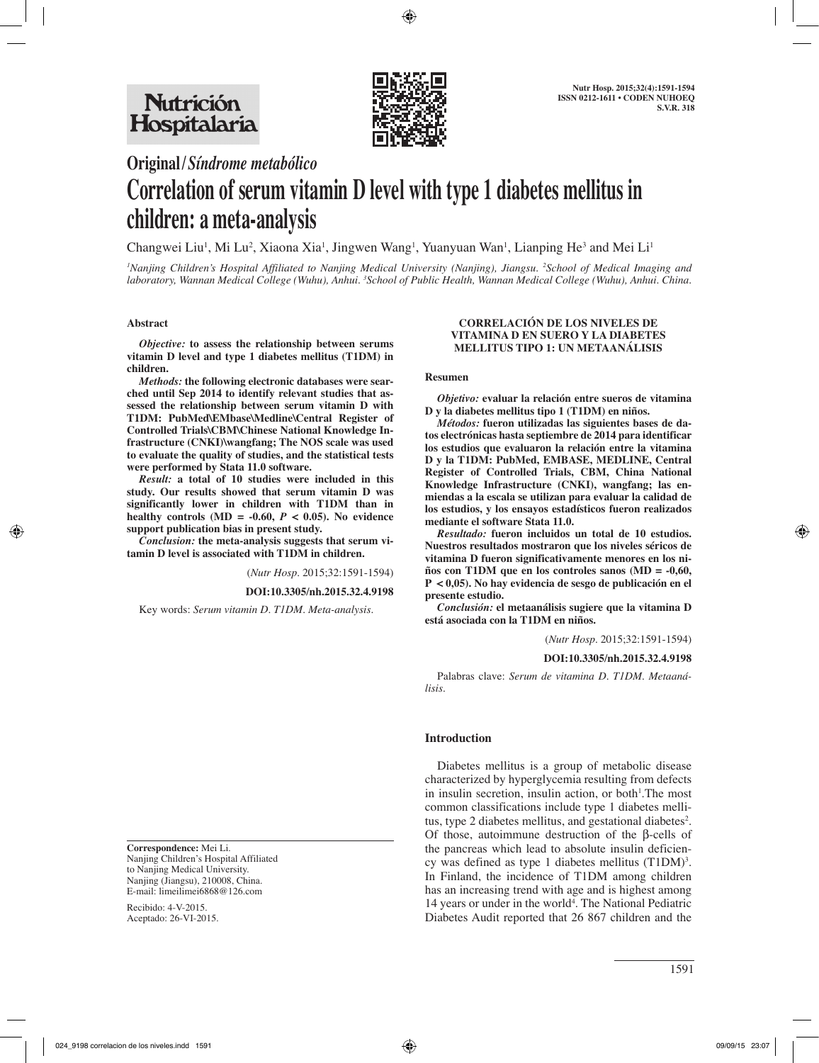

# **Original/***Síndrome metabólico*

# **Correlation of serum vitamin D level with type 1 diabetes mellitus in children: a meta-analysis**

Changwei Liu<sup>1</sup>, Mi Lu<sup>2</sup>, Xiaona Xia<sup>1</sup>, Jingwen Wang<sup>1</sup>, Yuanyuan Wan<sup>1</sup>, Lianping He<sup>3</sup> and Mei Li<sup>1</sup>

*1 Nanjing Children's Hospital Affiliated to Nanjing Medical University (Nanjing), Jiangsu. 2 School of Medical Imaging and laboratory, Wannan Medical College (Wuhu), Anhui. 3 School of Public Health, Wannan Medical College (Wuhu), Anhui. China.*

#### **Abstract**

*Objective:* **to assess the relationship between serums vitamin D level and type 1 diabetes mellitus (T1DM) in children.** 

*Methods:* **the following electronic databases were searched until Sep 2014 to identify relevant studies that assessed the relationship between serum vitamin D with T1DM: PubMed\EMbase\Medline\Central Register of Controlled Trials\CBM\Chinese National Knowledge Infrastructure (CNKI)\wangfang; The NOS scale was used to evaluate the quality of studies, and the statistical tests were performed by Stata 11.0 software.** 

*Result:* **a total of 10 studies were included in this study. Our results showed that serum vitamin D was significantly lower in children with T1DM than in**  healthy controls  $(MD = -0.60, P < 0.05)$ . No evidence **support publication bias in present study.**

*Conclusion:* **the meta-analysis suggests that serum vitamin D level is associated with T1DM in children.**

(*Nutr Hosp.* 2015;32:1591-1594)

**DOI:10.3305/nh.2015.32.4.9198**

Key words: *Serum vitamin D. T1DM. Meta-analysis.*

**Correspondence:** Mei Li. Nanjing Children's Hospital Affiliated to Nanjing Medical University. Nanjing (Jiangsu), 210008, China. E-mail: limeilimei6868@126.com

Recibido: 4-V-2015. Aceptado: 26-VI-2015.

#### **CORRELACIÓN DE LOS NIVELES DE VITAMINA D EN SUERO Y LA DIABETES MELLITUS TIPO 1: UN METAANÁLISIS**

#### **Resumen**

*Objetivo:* **evaluar la relación entre sueros de vitamina D y la diabetes mellitus tipo 1 (T1DM) en niños.**

*Métodos:* **fueron utilizadas las siguientes bases de datos electrónicas hasta septiembre de 2014 para identificar los estudios que evaluaron la relación entre la vitamina D y la T1DM: PubMed, EMBASE, MEDLINE, Central Register of Controlled Trials, CBM, China National Knowledge Infrastructure (CNKI), wangfang; las enmiendas a la escala se utilizan para evaluar la calidad de los estudios, y los ensayos estadísticos fueron realizados mediante el software Stata 11.0.**

*Resultado:* **fueron incluidos un total de 10 estudios. Nuestros resultados mostraron que los niveles séricos de vitamina D fueron significativamente menores en los niños con T1DM que en los controles sanos (MD = -0,60, P < 0,05). No hay evidencia de sesgo de publicación en el presente estudio.**

*Conclusión:* **el metaanálisis sugiere que la vitamina D está asociada con la T1DM en niños.**

(*Nutr Hosp.* 2015;32:1591-1594)

#### **DOI:10.3305/nh.2015.32.4.9198**

Palabras clave: *Serum de vitamina D. T1DM. Metaanálisis.*

#### **Introduction**

Diabetes mellitus is a group of metabolic disease characterized by hyperglycemia resulting from defects in insulin secretion, insulin action, or both<sup>1</sup>. The most common classifications include type 1 diabetes mellitus, type 2 diabetes mellitus, and gestational diabetes<sup>2</sup>. Of those, autoimmune destruction of the β-cells of the pancreas which lead to absolute insulin deficiency was defined as type 1 diabetes mellitus  $(T1DM)^3$ . In Finland, the incidence of T1DM among children has an increasing trend with age and is highest among 14 years or under in the world<sup>4</sup>. The National Pediatric Diabetes Audit reported that 26 867 children and the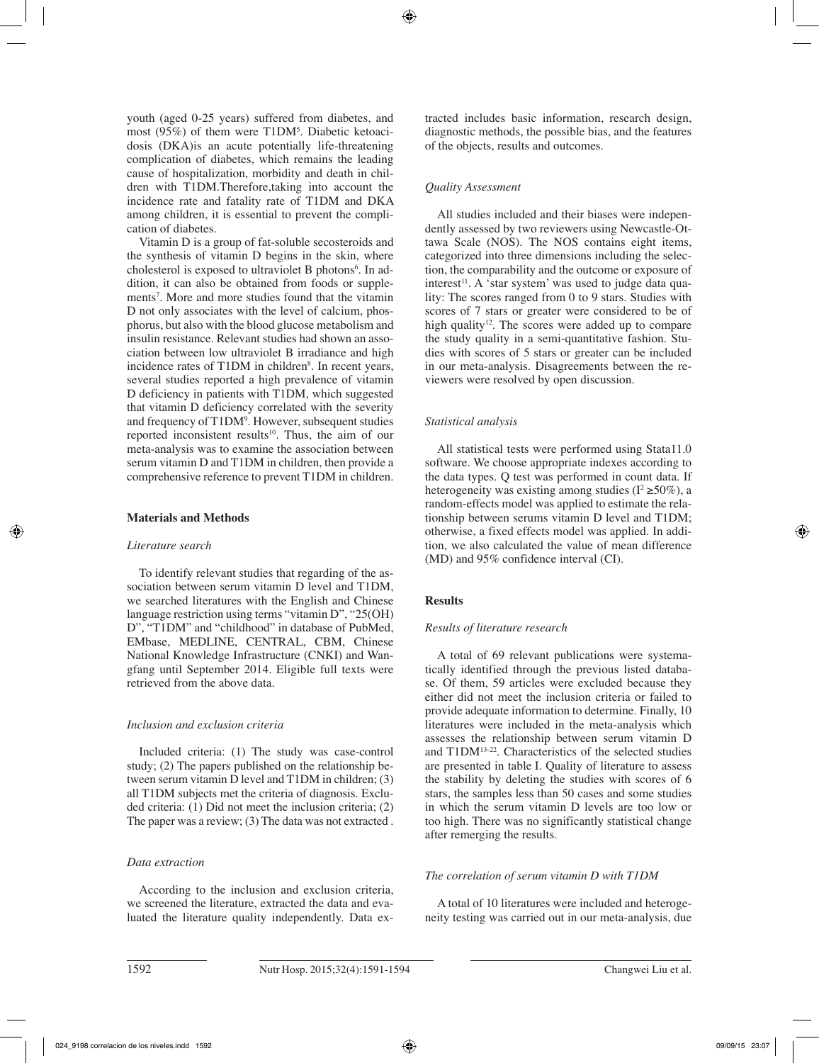youth (aged 0-25 years) suffered from diabetes, and most (95%) of them were T1DM<sup>5</sup>. Diabetic ketoacidosis (DKA)is an acute potentially life-threatening complication of diabetes, which remains the leading cause of hospitalization, morbidity and death in children with T1DM.Therefore,taking into account the incidence rate and fatality rate of T1DM and DKA among children, it is essential to prevent the complication of diabetes.

Vitamin D is a group of fat-soluble secosteroids and the synthesis of vitamin D begins in the skin, where cholesterol is exposed to ultraviolet B photons<sup>6</sup>. In addition, it can also be obtained from foods or supplements<sup>7</sup>. More and more studies found that the vitamin D not only associates with the level of calcium, phosphorus, but also with the blood glucose metabolism and insulin resistance. Relevant studies had shown an association between low ultraviolet B irradiance and high incidence rates of T1DM in children<sup>8</sup>. In recent years, several studies reported a high prevalence of vitamin D deficiency in patients with T1DM, which suggested that vitamin D deficiency correlated with the severity and frequency of T1DM9 . However, subsequent studies reported inconsistent results<sup>10</sup>. Thus, the aim of our meta-analysis was to examine the association between serum vitamin D and T1DM in children, then provide a comprehensive reference to prevent T1DM in children.

# **Materials and Methods**

# *Literature search*

To identify relevant studies that regarding of the association between serum vitamin D level and T1DM, we searched literatures with the English and Chinese language restriction using terms "vitamin D", "25(OH) D", "T1DM" and "childhood" in database of PubMed, EMbase, MEDLINE, CENTRAL, CBM, Chinese National Knowledge Infrastructure (CNKI) and Wangfang until September 2014. Eligible full texts were retrieved from the above data.

# *Inclusion and exclusion criteria*

Included criteria: (1) The study was case-control study; (2) The papers published on the relationship between serum vitamin D level and T1DM in children; (3) all T1DM subjects met the criteria of diagnosis. Excluded criteria: (1) Did not meet the inclusion criteria; (2) The paper was a review; (3) The data was not extracted .

# *Data extraction*

According to the inclusion and exclusion criteria, we screened the literature, extracted the data and evaluated the literature quality independently. Data extracted includes basic information, research design, diagnostic methods, the possible bias, and the features of the objects, results and outcomes.

# *Quality Assessment*

All studies included and their biases were independently assessed by two reviewers using Newcastle-Ottawa Scale (NOS). The NOS contains eight items, categorized into three dimensions including the selection, the comparability and the outcome or exposure of interest<sup>11</sup>. A 'star system' was used to judge data quality: The scores ranged from 0 to 9 stars. Studies with scores of 7 stars or greater were considered to be of high quality<sup>12</sup>. The scores were added up to compare the study quality in a semi-quantitative fashion. Studies with scores of 5 stars or greater can be included in our meta-analysis. Disagreements between the reviewers were resolved by open discussion.

# *Statistical analysis*

All statistical tests were performed using Stata11.0 software. We choose appropriate indexes according to the data types. Q test was performed in count data. If heterogeneity was existing among studies ( $I^2 \ge 50\%$ ), a random-effects model was applied to estimate the relationship between serums vitamin D level and T1DM; otherwise, a fixed effects model was applied. In addition, we also calculated the value of mean difference (MD) and 95% confidence interval (CI).

# **Results**

# *Results of literature research*

A total of 69 relevant publications were systematically identified through the previous listed database. Of them, 59 articles were excluded because they either did not meet the inclusion criteria or failed to provide adequate information to determine. Finally, 10 literatures were included in the meta-analysis which assesses the relationship between serum vitamin D and T1DM13-22. Characteristics of the selected studies are presented in table I. Quality of literature to assess the stability by deleting the studies with scores of 6 stars, the samples less than 50 cases and some studies in which the serum vitamin D levels are too low or too high. There was no significantly statistical change after remerging the results.

# *The correlation of serum vitamin D with T1DM*

A total of 10 literatures were included and heterogeneity testing was carried out in our meta-analysis, due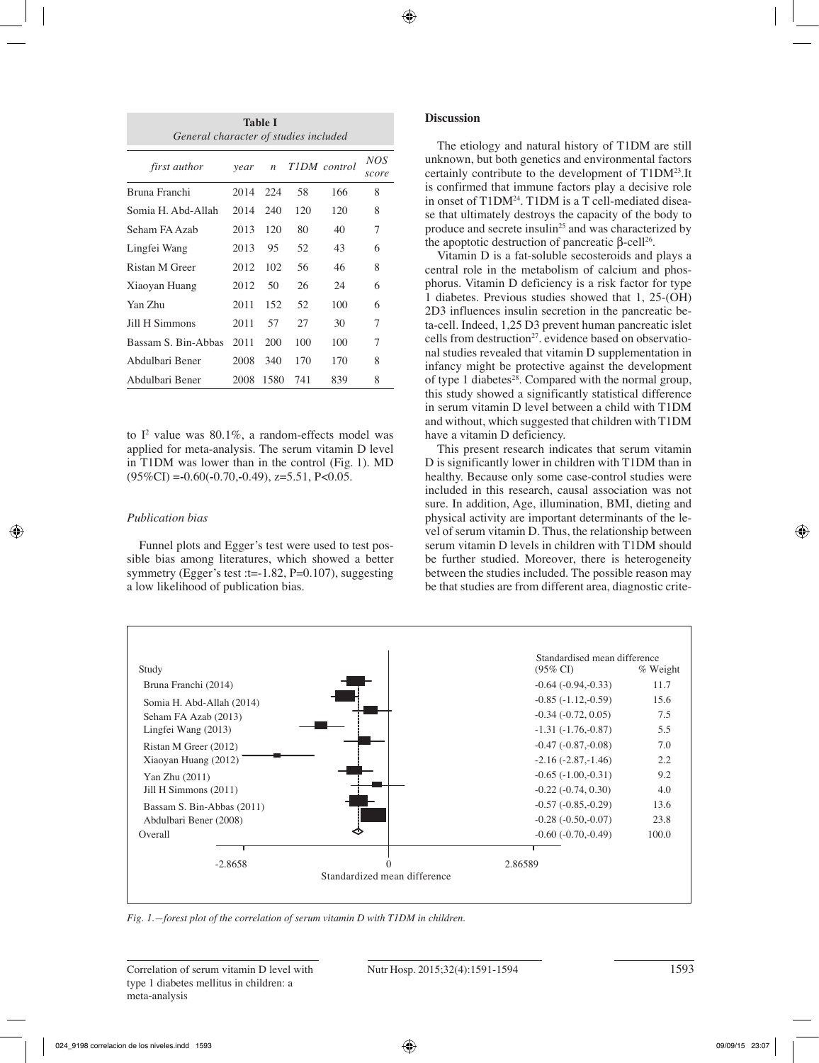| <b>Table I</b><br>General character of studies included |          |     |     |                |              |
|---------------------------------------------------------|----------|-----|-----|----------------|--------------|
| <i>first author</i>                                     | year     |     |     | n TIDM control | NOS<br>score |
| Bruna Franchi                                           | 2014 224 |     | 58  | 166            | 8            |
| Somia H. Abd-Allah                                      | 2014     | 240 | 120 | 120            | 8            |
| Seham FA Azab                                           | 2013     | 120 | 80  | 40             | 7            |
| Lingfei Wang                                            | 2013     | 95  | 52  | 43             | 6            |
| Ristan M Greer                                          | 2012     | 102 | 56  | 46             | 8            |

Xiaoyan Huang 2012 50 26 24 6 Yan Zhu 2011 152 52 100 6 Jill H Simmons 2011 57 27 30 7 Bassam S. Bin-Abbas 2011 200 100 100 7 Abdulbari Bener 2008 340 170 170 8 Abdulbari Bener 2008 1580 741 839 8

to  $I^2$  value was 80.1%, a random-effects model was applied for meta-analysis. The serum vitamin D level in T1DM was lower than in the control (Fig. 1). MD (95%CI) =**-**0.60(**-**0.70,**-**0.49), z=5.51, P<0.05.

# *Publication bias*

Funnel plots and Egger's test were used to test possible bias among literatures, which showed a better symmetry (Egger's test :t=-1.82, P=0.107), suggesting a low likelihood of publication bias.

# **Discussion**

The etiology and natural history of T1DM are still unknown, but both genetics and environmental factors certainly contribute to the development of T1DM23.It is confirmed that immune factors play a decisive role in onset of T1DM<sup>24</sup>. T1DM is a T cell-mediated disease that ultimately destroys the capacity of the body to produce and secrete insulin<sup>25</sup> and was characterized by the apoptotic destruction of pancreatic β-cell<sup>26</sup>.

Vitamin D is a fat-soluble secosteroids and plays a central role in the metabolism of calcium and phosphorus. Vitamin D deficiency is a risk factor for type 1 diabetes. Previous studies showed that 1, 25-(OH) 2D3 influences insulin secretion in the pancreatic beta-cell. Indeed, 1,25 D3 prevent human pancreatic islet cells from destruction<sup>27</sup>. evidence based on observational studies revealed that vitamin D supplementation in infancy might be protective against the development of type 1 diabetes $^{28}$ . Compared with the normal group, this study showed a significantly statistical difference in serum vitamin D level between a child with T1DM and without, which suggested that children with T1DM have a vitamin D deficiency.

This present research indicates that serum vitamin D is significantly lower in children with T1DM than in healthy. Because only some case-control studies were included in this research, causal association was not sure. In addition, Age, illumination, BMI, dieting and physical activity are important determinants of the level of serum vitamin D. Thus, the relationship between serum vitamin D levels in children with T1DM should be further studied. Moreover, there is heterogeneity between the studies included. The possible reason may be that studies are from different area, diagnostic crite-



*Fig. 1.—forest plot of the correlation of serum vitamin D with T1DM in children.*